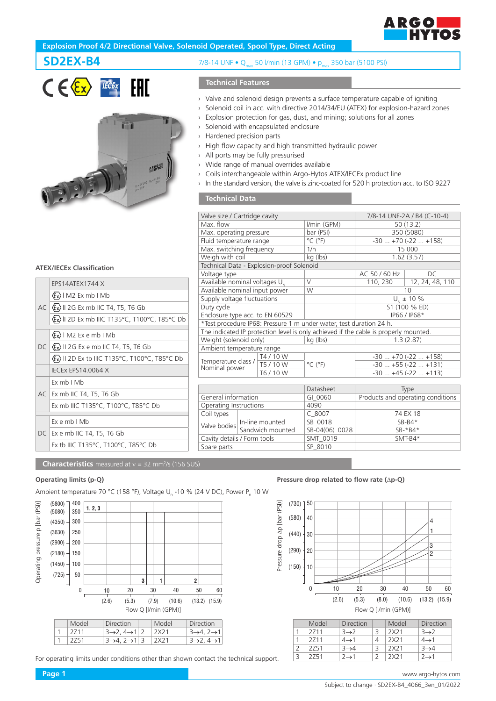

# **Explosion Proof 4/2 Directional Valve, Solenoid Operated, Spool Type, Direct Acting**

# SD2EX-B4





### **ATEX/IECEx Classification**

|  | FPS14ATFX1744 X                                                     |
|--|---------------------------------------------------------------------|
|  | $\langle \xi_x \rangle$   M2 Ex mb   Mb                             |
|  | $AC  \& x\rangle$    2G Ex mb    C T4, T5, T6 Gb                    |
|  | <b>Ex) II 2D Ex mb IIIC T135°C, T100°C, T85°C Db</b>                |
|  | 《εx》   M2 Ex e mb   Mb                                              |
|  | $DC \vert \langle \xi_x \rangle \vert$ 2G Ex e mb IIC T4, T5, T6 Gb |
|  | $\langle \xi_x \rangle$ II 2D Ex tb IIIC T135°C, T100°C, T85°C Db   |
|  | <b>IECEX EPS14.0064 X</b>                                           |
|  | Fx mh I Mh                                                          |
|  | AC Ex mb IIC T4, T5, T6 Gb                                          |
|  | Ex mb IIIC T135°C, T100°C, T85°C Db                                 |
|  | $Ex$ e mb $I$ Mb                                                    |
|  | DC   Ex e mb IIC T4, T5, T6 Gb                                      |
|  | Ex tb IIIC T135°C, T100°C, T85°C Db                                 |
|  |                                                                     |

|  |  |  | 7/8-14 UNF • Q <sub>max</sub> 50 l/min (13 GPM) • p <sub>max</sub> 350 bar (5100 PSI) |  |  |
|--|--|--|---------------------------------------------------------------------------------------|--|--|
|--|--|--|---------------------------------------------------------------------------------------|--|--|

# **Technical Features**

- › Valve and solenoid design prevents a surface temperature capable of igniting
- › Solenoid coil in acc. with directive 2014/34/EU (ATEX) for explosion-hazard zones
- › Explosion protection for gas, dust, and mining; solutions for all zones
- › Solenoid with encapsulated enclosure
- › Hardened precision parts
- › High flow capacity and high transmitted hydraulic power

Sandwich mounted SB-04(06)<br>
SMT\_0019

Spare parts SP\_8010

Cavity details / Form tools SMT\_0019 SMT-B4\*

- › All ports may be fully pressurised
- › Wide range of manual overrides available
- › Coils interchangeable within Argo-Hytos ATEX/IECEx product line
- › In the standard version, the valve is zinc-coated for 520 h protection acc. to ISO 9227

## **Technical Data**

| Valve size / Cartridge cavity                                                        |                  |                                           |                              | 7/8-14 UNF-2A / B4 (C-10-4)       |                 |  |
|--------------------------------------------------------------------------------------|------------------|-------------------------------------------|------------------------------|-----------------------------------|-----------------|--|
| Max. flow                                                                            |                  |                                           | I/min (GPM)                  | 50 (13.2)                         |                 |  |
| Max. operating pressure                                                              |                  |                                           | bar (PSI)                    | 350 (5080)                        |                 |  |
| Fluid temperature range                                                              |                  |                                           | $^{\circ}$ C ( $^{\circ}$ F) | $-30$ $+70$ ( $-22$ $+158$ )      |                 |  |
| Max. switching frequency                                                             |                  |                                           | 1/h                          | 15 000                            |                 |  |
| Weigh with coil                                                                      |                  |                                           | kg (lbs)                     | 1.62(3.57)                        |                 |  |
|                                                                                      |                  | Technical Data - Explosion-proof Solenoid |                              |                                   |                 |  |
| Voltage type                                                                         |                  |                                           |                              | AC 50 / 60 Hz                     | DC              |  |
| Available nominal voltages $U_{N}$                                                   |                  |                                           | $\vee$                       | 110, 230                          | 12, 24, 48, 110 |  |
| Available nominal input power                                                        |                  |                                           | W                            | 10                                |                 |  |
| Supply voltage fluctuations                                                          |                  |                                           |                              | $U_{N}$ ± 10 %                    |                 |  |
| Duty cycle                                                                           |                  |                                           |                              | S1 (100 % ED)                     |                 |  |
| Enclosure type acc. to EN 60529                                                      |                  |                                           |                              | IP66 / IP68*                      |                 |  |
| *Test procedure IP68: Pressure 1 m under water, test duration 24 h.                  |                  |                                           |                              |                                   |                 |  |
| The indicated IP protection level is only achieved if the cable is properly mounted. |                  |                                           |                              |                                   |                 |  |
| Weight (solenoid only)                                                               |                  | kg (lbs)                                  | 1.3(2.87)                    |                                   |                 |  |
| Ambient temperature range                                                            |                  |                                           |                              |                                   |                 |  |
|                                                                                      |                  | T4 / 10 W                                 |                              | $-30+70(-22+158)$                 |                 |  |
| Temperature class /<br>Nominal power                                                 |                  | T5 / 10 W                                 | $^{\circ}$ C ( $^{\circ}$ F) | $-30+55(-22+131)$                 |                 |  |
|                                                                                      |                  | T6 / 10 W                                 |                              | $-30$ $+45$ ( $-22$ $+113$ )      |                 |  |
|                                                                                      |                  |                                           |                              |                                   |                 |  |
|                                                                                      |                  |                                           | Datasheet                    | Type                              |                 |  |
| General information                                                                  |                  |                                           | GI_0060                      | Products and operating conditions |                 |  |
| Operating Instructions                                                               |                  |                                           | 4090                         |                                   |                 |  |
| Coil types                                                                           |                  | $C_8007$                                  | 74 EX 18                     |                                   |                 |  |
|                                                                                      | In-line mounted  |                                           | SB 0018                      | $SB-B4*$                          |                 |  |
| Valve bodies                                                                         | Sandwich mounted |                                           | SB-04(06) 0028               | SB-*B4*                           |                 |  |

#### **Characteristics** measured at v = 32 mm<sup>2</sup>/s (156 SUS)

Ambient temperature 70 °C (158 °F), Voltage U<sub>n</sub> -10 % (24 V DC), Power P<sub>n</sub> 10 W



For operating limits under conditions other than shown contact the technical support.

**Operating limits (p-Q) Pressure drop related to flow rate (**∆**p-Q)**



| Model | <b>Direction</b> | Model | <b>Direction</b> |
|-------|------------------|-------|------------------|
| 2711  | $3\rightarrow 2$ | 2X21  | $3\rightarrow 2$ |
| 2711  | $4\rightarrow 1$ | 2X21  | $4\rightarrow 1$ |
| 2751  | $3\rightarrow 4$ | 2X21  | $3\rightarrow 4$ |
| 2751  | 7→1              | 2X21  | $2\rightarrow 1$ |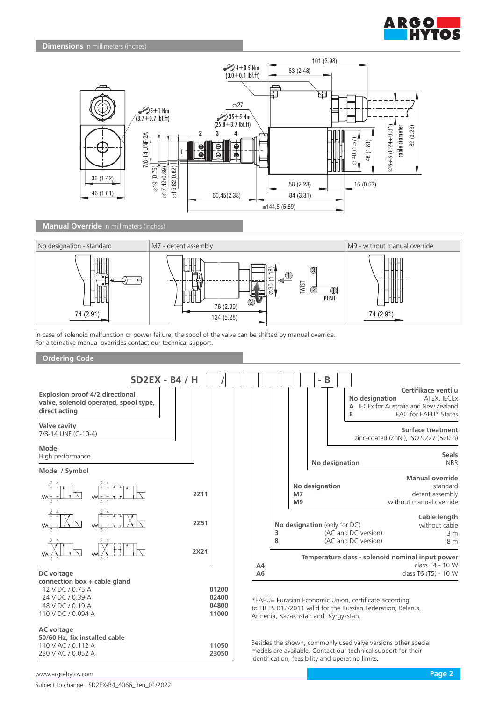



**Manual Override** in millimeters (inches)



In case of solenoid malfunction or power failure, the spool of the valve can be shifted by manual override. For alternative manual overrides contact our technical support.

#### **Ordering Code**



**23050**

www.argo-hytos.com **Page 2**

230 V AC / 0.052 A

models are available. Contact our technical support for their

identification, feasibility and operating limits.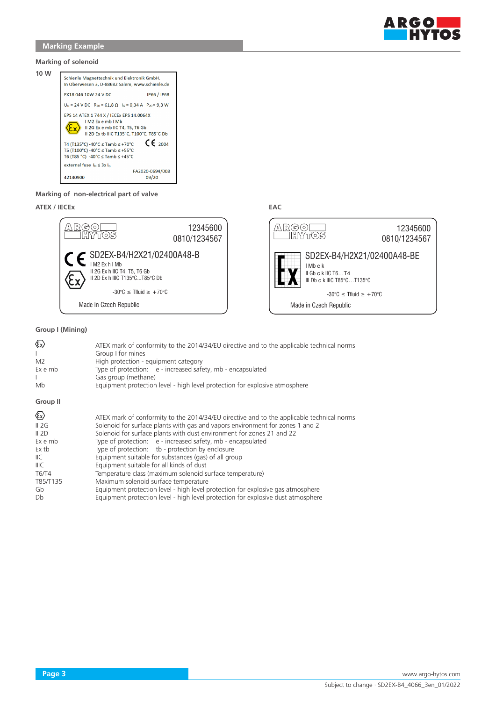

### **Marking of solenoid**



#### **Marking of non-electrical part of valve**

## **ATEX / IECEx EAC**



### **Group I (Mining)**

| ☜<br>L<br>M <sub>2</sub><br>Ex e mb<br>Mb | ATEX mark of conformity to the 2014/34/EU directive and to the applicable technical norms<br>Group I for mines<br>High protection - equipment category<br>Type of protection: e - increased safety, mb - encapsulated<br>Gas group (methane)<br>Equipment protection level - high level protection for explosive atmosphere |
|-------------------------------------------|-----------------------------------------------------------------------------------------------------------------------------------------------------------------------------------------------------------------------------------------------------------------------------------------------------------------------------|
| Group II                                  |                                                                                                                                                                                                                                                                                                                             |
| $\langle \epsilon_{\mathsf{x}} \rangle$   | ATEX mark of conformity to the 2014/34/EU directive and to the applicable technical norms                                                                                                                                                                                                                                   |
| II 2G                                     | Solenoid for surface plants with gas and vapors environment for zones 1 and 2                                                                                                                                                                                                                                               |
| II 2D                                     | Solenoid for surface plants with dust environment for zones 21 and 22                                                                                                                                                                                                                                                       |
| Ex e mb                                   | Type of protection: e - increased safety, mb - encapsulated                                                                                                                                                                                                                                                                 |
| Ex tb                                     | Type of protection: tb - protection by enclosure                                                                                                                                                                                                                                                                            |
| IIC.                                      | Equipment suitable for substances (gas) of all group                                                                                                                                                                                                                                                                        |
| IIIC                                      | Equipment suitable for all kinds of dust                                                                                                                                                                                                                                                                                    |
| T6/T4                                     | Temperature class (maximum solenoid surface temperature)                                                                                                                                                                                                                                                                    |
| T85/T135                                  | Maximum solenoid surface temperature                                                                                                                                                                                                                                                                                        |
| Gb                                        | Equipment protection level - high level protection for explosive gas atmosphere                                                                                                                                                                                                                                             |
| Db                                        | Equipment protection level - high level protection for explosive dust atmosphere                                                                                                                                                                                                                                            |